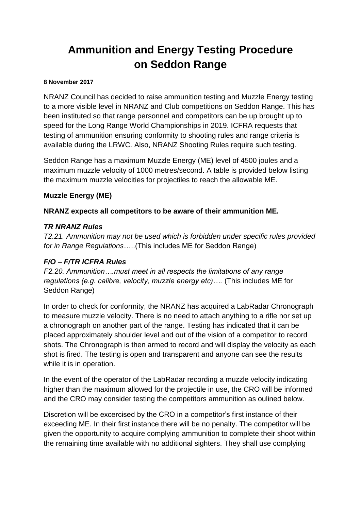# **Ammunition and Energy Testing Procedure on Seddon Range**

#### **8 November 2017**

NRANZ Council has decided to raise ammunition testing and Muzzle Energy testing to a more visible level in NRANZ and Club competitions on Seddon Range. This has been instituted so that range personnel and competitors can be up brought up to speed for the Long Range World Championships in 2019. ICFRA requests that testing of ammunition ensuring conformity to shooting rules and range criteria is available during the LRWC. Also, NRANZ Shooting Rules require such testing.

Seddon Range has a maximum Muzzle Energy (ME) level of 4500 joules and a maximum muzzle velocity of 1000 metres/second. A table is provided below listing the maximum muzzle velocities for projectiles to reach the allowable ME.

# **Muzzle Energy (ME)**

# **NRANZ expects all competitors to be aware of their ammunition ME.**

# *TR NRANZ Rules*

*T2.21. Ammunition may not be used which is forbidden under specific rules provided for in Range Regulations*…..(This includes ME for Seddon Range)

# *F/O – F/TR ICFRA Rules*

*F2.20. Ammunition….must meet in all respects the limitations of any range regulations (e.g. calibre, velocity, muzzle energy etc)….* (This includes ME for Seddon Range)

In order to check for conformity, the NRANZ has acquired a LabRadar Chronograph to measure muzzle velocity. There is no need to attach anything to a rifle nor set up a chronograph on another part of the range. Testing has indicated that it can be placed approximately shoulder level and out of the vision of a competitor to record shots. The Chronograph is then armed to record and will display the velocity as each shot is fired. The testing is open and transparent and anyone can see the results while it is in operation.

In the event of the operator of the LabRadar recording a muzzle velocity indicating higher than the maximum allowed for the projectile in use, the CRO will be informed and the CRO may consider testing the competitors ammunition as oulined below.

Discretion will be excercised by the CRO in a competitor's first instance of their exceeding ME. In their first instance there will be no penalty. The competitor will be given the opportunity to acquire complying ammunition to complete their shoot within the remaining time available with no additional sighters. They shall use complying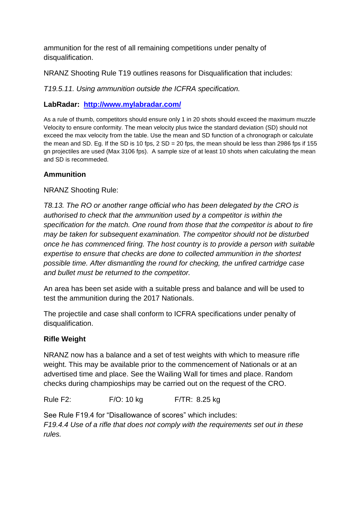ammunition for the rest of all remaining competitions under penalty of disqualification.

NRANZ Shooting Rule T19 outlines reasons for Disqualification that includes:

*T19.5.11. Using ammunition outside the ICFRA specification.*

## **LabRadar: <http://www.mylabradar.com/>**

As a rule of thumb, competitors should ensure only 1 in 20 shots should exceed the maximum muzzle Velocity to ensure conformity. The mean velocity plus twice the standard deviation (SD) should not exceed the max velocity from the table. Use the mean and SD function of a chronograph or calculate the mean and SD. Eg. If the SD is 10 fps,  $2$  SD = 20 fps, the mean should be less than 2986 fps if 155 gn projectiles are used (Max 3106 fps). A sample size of at least 10 shots when calculating the mean and SD is recommeded.

# **Ammunition**

## NRANZ Shooting Rule:

*T8.13. The RO or another range official who has been delegated by the CRO is authorised to check that the ammunition used by a competitor is within the specification for the match. One round from those that the competitor is about to fire may be taken for subsequent examination. The competitor should not be disturbed once he has commenced firing. The host country is to provide a person with suitable expertise to ensure that checks are done to collected ammunition in the shortest possible time. After dismantling the round for checking, the unfired cartridge case and bullet must be returned to the competitor.*

An area has been set aside with a suitable press and balance and will be used to test the ammunition during the 2017 Nationals.

The projectile and case shall conform to ICFRA specifications under penalty of disqualification.

### **Rifle Weight**

NRANZ now has a balance and a set of test weights with which to measure rifle weight. This may be available prior to the commencement of Nationals or at an advertised time and place. See the Wailing Wall for times and place. Random checks during champioships may be carried out on the request of the CRO.

Rule F2: F/O: 10 kg F/TR: 8.25 kg

See Rule F19.4 for "Disallowance of scores" which includes: *F19.4.4 Use of a rifle that does not comply with the requirements set out in these rules.*